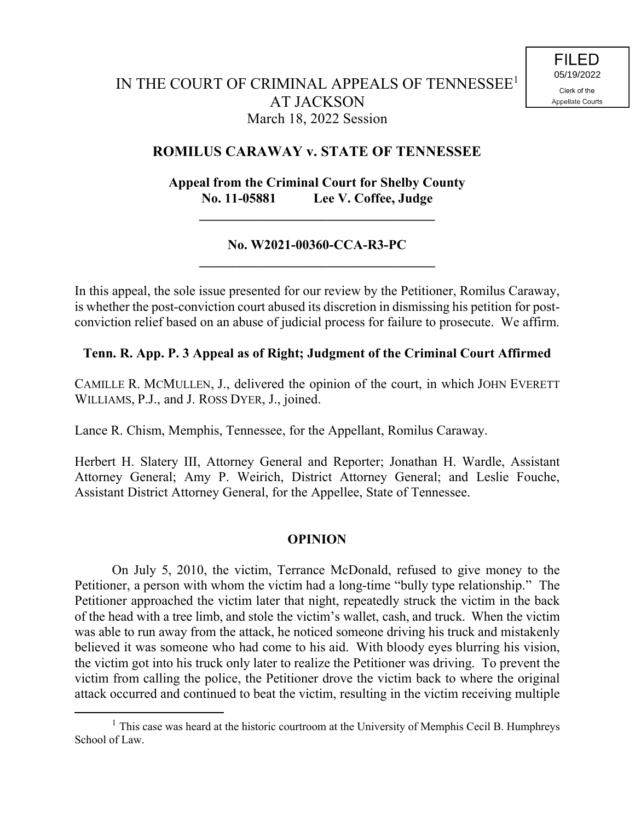## **ROMILUS CARAWAY v. STATE OF TENNESSEE**

# **Appeal from the Criminal Court for Shelby County No. 11-05881 Lee V. Coffee, Judge**

**\_\_\_\_\_\_\_\_\_\_\_\_\_\_\_\_\_\_\_\_\_\_\_\_\_\_\_\_\_\_\_\_\_\_\_**

## **No. W2021-00360-CCA-R3-PC \_\_\_\_\_\_\_\_\_\_\_\_\_\_\_\_\_\_\_\_\_\_\_\_\_\_\_\_\_\_\_\_\_\_\_**

In this appeal, the sole issue presented for our review by the Petitioner, Romilus Caraway, is whether the post-conviction court abused its discretion in dismissing his petition for postconviction relief based on an abuse of judicial process for failure to prosecute. We affirm.

## **Tenn. R. App. P. 3 Appeal as of Right; Judgment of the Criminal Court Affirmed**

CAMILLE R. MCMULLEN, J., delivered the opinion of the court, in which JOHN EVERETT WILLIAMS, P.J., and J. ROSS DYER, J., joined.

Lance R. Chism, Memphis, Tennessee, for the Appellant, Romilus Caraway.

Herbert H. Slatery III, Attorney General and Reporter; Jonathan H. Wardle, Assistant Attorney General; Amy P. Weirich, District Attorney General; and Leslie Fouche, Assistant District Attorney General, for the Appellee, State of Tennessee.

### **OPINION**

On July 5, 2010, the victim, Terrance McDonald, refused to give money to the Petitioner, a person with whom the victim had a long-time "bully type relationship." The Petitioner approached the victim later that night, repeatedly struck the victim in the back of the head with a tree limb, and stole the victim's wallet, cash, and truck. When the victim was able to run away from the attack, he noticed someone driving his truck and mistakenly believed it was someone who had come to his aid. With bloody eyes blurring his vision, the victim got into his truck only later to realize the Petitioner was driving. To prevent the victim from calling the police, the Petitioner drove the victim back to where the original attack occurred and continued to beat the victim, resulting in the victim receiving multiple

 $<sup>1</sup>$  This case was heard at the historic courtroom at the University of Memphis Cecil B. Humphreys</sup> School of Law.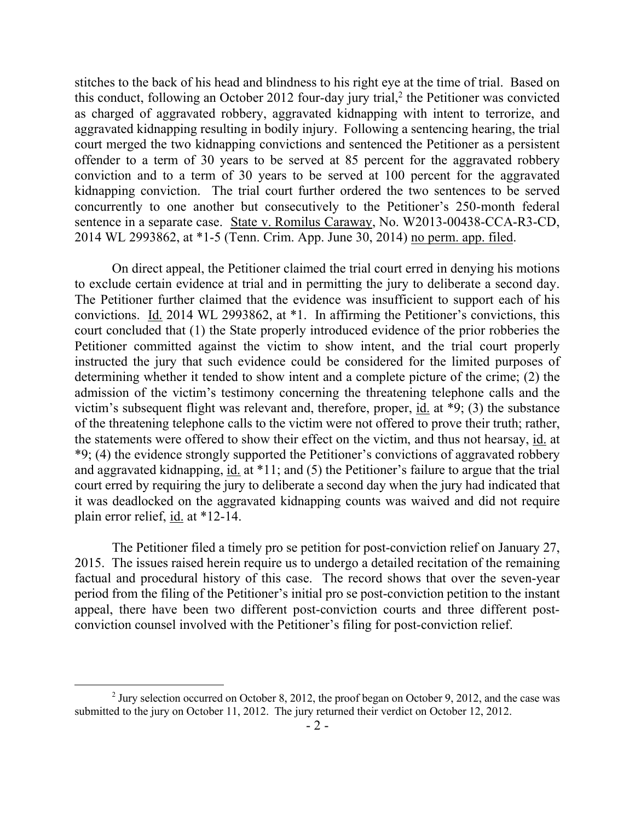stitches to the back of his head and blindness to his right eye at the time of trial. Based on this conduct, following an October 2012 four-day jury trial, $2$  the Petitioner was convicted as charged of aggravated robbery, aggravated kidnapping with intent to terrorize, and aggravated kidnapping resulting in bodily injury. Following a sentencing hearing, the trial court merged the two kidnapping convictions and sentenced the Petitioner as a persistent offender to a term of 30 years to be served at 85 percent for the aggravated robbery conviction and to a term of 30 years to be served at 100 percent for the aggravated kidnapping conviction. The trial court further ordered the two sentences to be served concurrently to one another but consecutively to the Petitioner's 250-month federal sentence in a separate case. State v. Romilus Caraway, No. W2013-00438-CCA-R3-CD, 2014 WL 2993862, at \*1-5 (Tenn. Crim. App. June 30, 2014) no perm. app. filed.

On direct appeal, the Petitioner claimed the trial court erred in denying his motions to exclude certain evidence at trial and in permitting the jury to deliberate a second day. The Petitioner further claimed that the evidence was insufficient to support each of his convictions. Id. 2014 WL 2993862, at \*1. In affirming the Petitioner's convictions, this court concluded that (1) the State properly introduced evidence of the prior robberies the Petitioner committed against the victim to show intent, and the trial court properly instructed the jury that such evidence could be considered for the limited purposes of determining whether it tended to show intent and a complete picture of the crime; (2) the admission of the victim's testimony concerning the threatening telephone calls and the victim's subsequent flight was relevant and, therefore, proper, id. at \*9; (3) the substance of the threatening telephone calls to the victim were not offered to prove their truth; rather, the statements were offered to show their effect on the victim, and thus not hearsay, id. at \*9; (4) the evidence strongly supported the Petitioner's convictions of aggravated robbery and aggravated kidnapping, id. at \*11; and (5) the Petitioner's failure to argue that the trial court erred by requiring the jury to deliberate a second day when the jury had indicated that it was deadlocked on the aggravated kidnapping counts was waived and did not require plain error relief, id. at \*12-14.

The Petitioner filed a timely pro se petition for post-conviction relief on January 27, 2015. The issues raised herein require us to undergo a detailed recitation of the remaining factual and procedural history of this case. The record shows that over the seven-year period from the filing of the Petitioner's initial pro se post-conviction petition to the instant appeal, there have been two different post-conviction courts and three different postconviction counsel involved with the Petitioner's filing for post-conviction relief.

 $2$  Jury selection occurred on October 8, 2012, the proof began on October 9, 2012, and the case was submitted to the jury on October 11, 2012. The jury returned their verdict on October 12, 2012.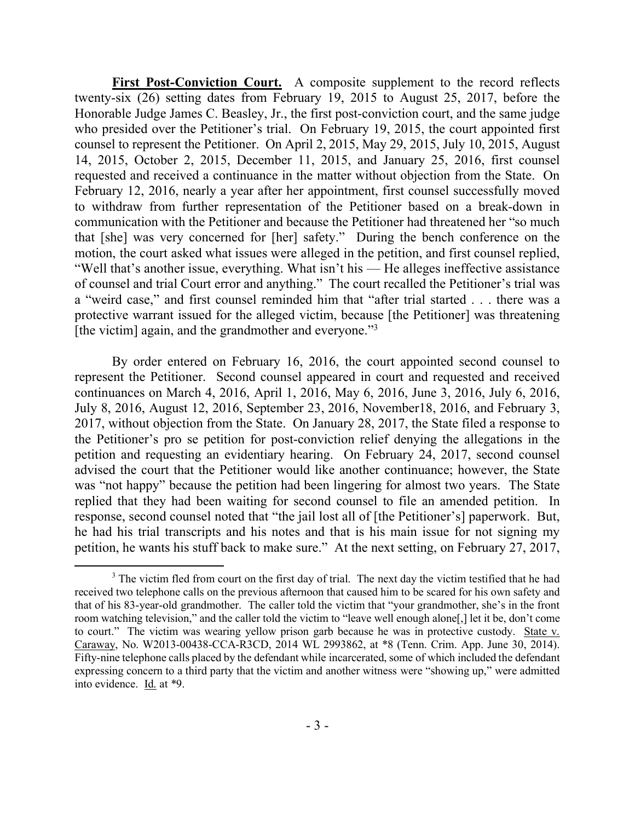First Post-Conviction Court. A composite supplement to the record reflects twenty-six (26) setting dates from February 19, 2015 to August 25, 2017, before the Honorable Judge James C. Beasley, Jr., the first post-conviction court, and the same judge who presided over the Petitioner's trial. On February 19, 2015, the court appointed first counsel to represent the Petitioner. On April 2, 2015, May 29, 2015, July 10, 2015, August 14, 2015, October 2, 2015, December 11, 2015, and January 25, 2016, first counsel requested and received a continuance in the matter without objection from the State. On February 12, 2016, nearly a year after her appointment, first counsel successfully moved to withdraw from further representation of the Petitioner based on a break-down in communication with the Petitioner and because the Petitioner had threatened her "so much that [she] was very concerned for [her] safety." During the bench conference on the motion, the court asked what issues were alleged in the petition, and first counsel replied, "Well that's another issue, everything. What isn't his — He alleges ineffective assistance of counsel and trial Court error and anything." The court recalled the Petitioner's trial was a "weird case," and first counsel reminded him that "after trial started . . . there was a protective warrant issued for the alleged victim, because [the Petitioner] was threatening [the victim] again, and the grandmother and everyone."<sup>3</sup>

By order entered on February 16, 2016, the court appointed second counsel to represent the Petitioner. Second counsel appeared in court and requested and received continuances on March 4, 2016, April 1, 2016, May 6, 2016, June 3, 2016, July 6, 2016, July 8, 2016, August 12, 2016, September 23, 2016, November18, 2016, and February 3, 2017, without objection from the State. On January 28, 2017, the State filed a response to the Petitioner's pro se petition for post-conviction relief denying the allegations in the petition and requesting an evidentiary hearing. On February 24, 2017, second counsel advised the court that the Petitioner would like another continuance; however, the State was "not happy" because the petition had been lingering for almost two years. The State replied that they had been waiting for second counsel to file an amended petition. In response, second counsel noted that "the jail lost all of [the Petitioner's] paperwork. But, he had his trial transcripts and his notes and that is his main issue for not signing my petition, he wants his stuff back to make sure." At the next setting, on February 27, 2017,

<sup>&</sup>lt;sup>3</sup> The victim fled from court on the first day of trial. The next day the victim testified that he had received two telephone calls on the previous afternoon that caused him to be scared for his own safety and that of his 83-year-old grandmother. The caller told the victim that "your grandmother, she's in the front room watching television," and the caller told the victim to "leave well enough alone[,] let it be, don't come to court." The victim was wearing yellow prison garb because he was in protective custody. State v. Caraway, No. W2013-00438-CCA-R3CD, 2014 WL 2993862, at \*8 (Tenn. Crim. App. June 30, 2014). Fifty-nine telephone calls placed by the defendant while incarcerated, some of which included the defendant expressing concern to a third party that the victim and another witness were "showing up," were admitted into evidence. Id. at \*9.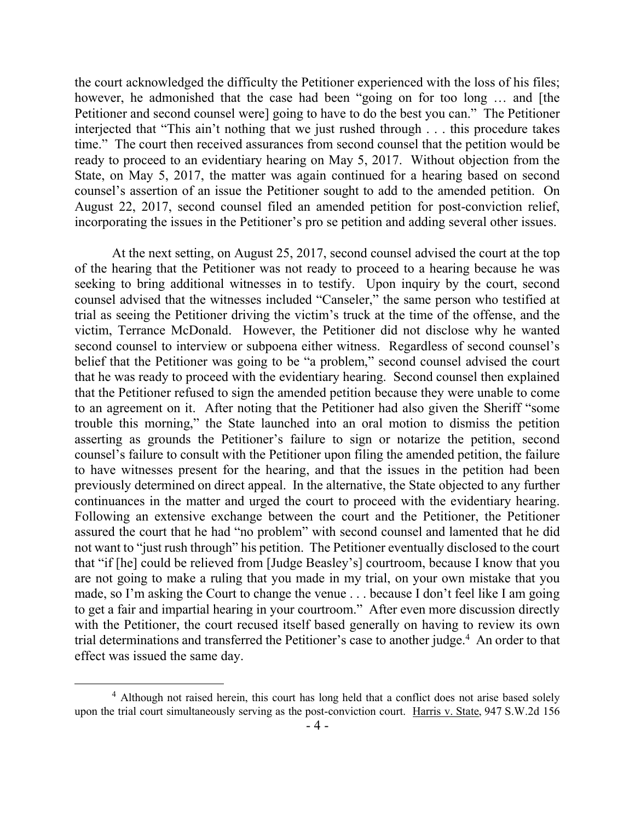the court acknowledged the difficulty the Petitioner experienced with the loss of his files; however, he admonished that the case had been "going on for too long … and [the Petitioner and second counsel were] going to have to do the best you can." The Petitioner interjected that "This ain't nothing that we just rushed through . . . this procedure takes time." The court then received assurances from second counsel that the petition would be ready to proceed to an evidentiary hearing on May 5, 2017. Without objection from the State, on May 5, 2017, the matter was again continued for a hearing based on second counsel's assertion of an issue the Petitioner sought to add to the amended petition. On August 22, 2017, second counsel filed an amended petition for post-conviction relief, incorporating the issues in the Petitioner's pro se petition and adding several other issues.

At the next setting, on August 25, 2017, second counsel advised the court at the top of the hearing that the Petitioner was not ready to proceed to a hearing because he was seeking to bring additional witnesses in to testify. Upon inquiry by the court, second counsel advised that the witnesses included "Canseler," the same person who testified at trial as seeing the Petitioner driving the victim's truck at the time of the offense, and the victim, Terrance McDonald. However, the Petitioner did not disclose why he wanted second counsel to interview or subpoena either witness. Regardless of second counsel's belief that the Petitioner was going to be "a problem," second counsel advised the court that he was ready to proceed with the evidentiary hearing. Second counsel then explained that the Petitioner refused to sign the amended petition because they were unable to come to an agreement on it. After noting that the Petitioner had also given the Sheriff "some trouble this morning," the State launched into an oral motion to dismiss the petition asserting as grounds the Petitioner's failure to sign or notarize the petition, second counsel's failure to consult with the Petitioner upon filing the amended petition, the failure to have witnesses present for the hearing, and that the issues in the petition had been previously determined on direct appeal. In the alternative, the State objected to any further continuances in the matter and urged the court to proceed with the evidentiary hearing. Following an extensive exchange between the court and the Petitioner, the Petitioner assured the court that he had "no problem" with second counsel and lamented that he did not want to "just rush through" his petition. The Petitioner eventually disclosed to the court that "if [he] could be relieved from [Judge Beasley's] courtroom, because I know that you are not going to make a ruling that you made in my trial, on your own mistake that you made, so I'm asking the Court to change the venue . . . because I don't feel like I am going to get a fair and impartial hearing in your courtroom." After even more discussion directly with the Petitioner, the court recused itself based generally on having to review its own trial determinations and transferred the Petitioner's case to another judge.<sup>4</sup> An order to that effect was issued the same day.

<sup>&</sup>lt;sup>4</sup> Although not raised herein, this court has long held that a conflict does not arise based solely upon the trial court simultaneously serving as the post-conviction court. Harris v. State, 947 S.W.2d 156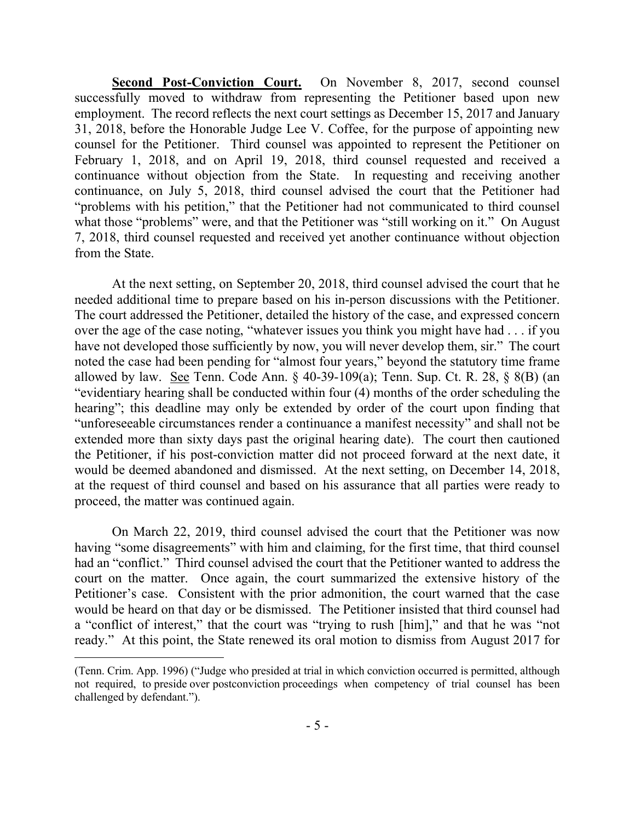Second Post-Conviction Court. On November 8, 2017, second counsel successfully moved to withdraw from representing the Petitioner based upon new employment. The record reflects the next court settings as December 15, 2017 and January 31, 2018, before the Honorable Judge Lee V. Coffee, for the purpose of appointing new counsel for the Petitioner. Third counsel was appointed to represent the Petitioner on February 1, 2018, and on April 19, 2018, third counsel requested and received a continuance without objection from the State. In requesting and receiving another continuance, on July 5, 2018, third counsel advised the court that the Petitioner had "problems with his petition," that the Petitioner had not communicated to third counsel what those "problems" were, and that the Petitioner was "still working on it." On August 7, 2018, third counsel requested and received yet another continuance without objection from the State.

At the next setting, on September 20, 2018, third counsel advised the court that he needed additional time to prepare based on his in-person discussions with the Petitioner. The court addressed the Petitioner, detailed the history of the case, and expressed concern over the age of the case noting, "whatever issues you think you might have had . . . if you have not developed those sufficiently by now, you will never develop them, sir." The court noted the case had been pending for "almost four years," beyond the statutory time frame allowed by law. See Tenn. Code Ann. § 40-39-109(a); Tenn. Sup. Ct. R. 28, § 8(B) (an "evidentiary hearing shall be conducted within four (4) months of the order scheduling the hearing"; this deadline may only be extended by order of the court upon finding that "unforeseeable circumstances render a continuance a manifest necessity" and shall not be extended more than sixty days past the original hearing date). The court then cautioned the Petitioner, if his post-conviction matter did not proceed forward at the next date, it would be deemed abandoned and dismissed. At the next setting, on December 14, 2018, at the request of third counsel and based on his assurance that all parties were ready to proceed, the matter was continued again.

On March 22, 2019, third counsel advised the court that the Petitioner was now having "some disagreements" with him and claiming, for the first time, that third counsel had an "conflict." Third counsel advised the court that the Petitioner wanted to address the court on the matter. Once again, the court summarized the extensive history of the Petitioner's case. Consistent with the prior admonition, the court warned that the case would be heard on that day or be dismissed. The Petitioner insisted that third counsel had a "conflict of interest," that the court was "trying to rush [him]," and that he was "not ready." At this point, the State renewed its oral motion to dismiss from August 2017 for

<sup>(</sup>Tenn. Crim. App. 1996) ("Judge who presided at trial in which conviction occurred is permitted, although not required, to preside over postconviction proceedings when competency of trial counsel has been challenged by defendant.").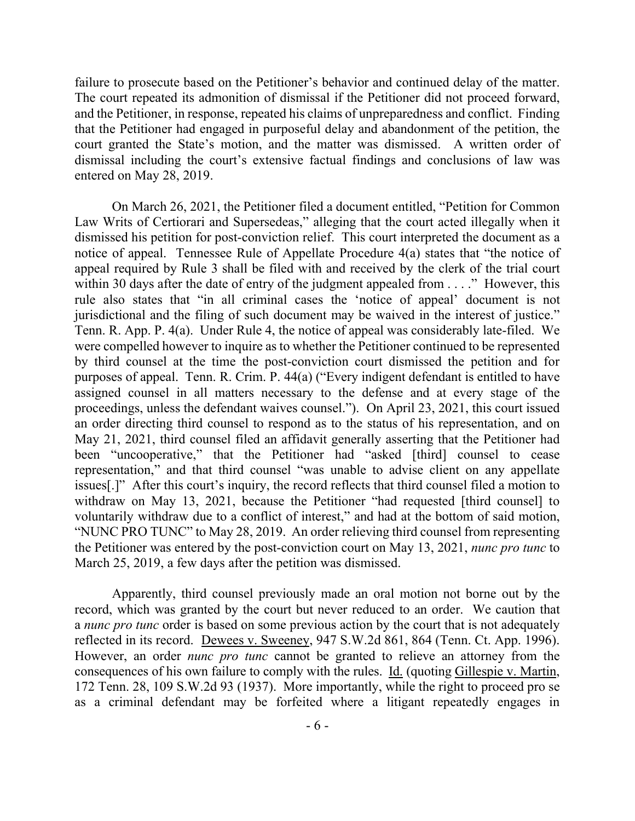failure to prosecute based on the Petitioner's behavior and continued delay of the matter. The court repeated its admonition of dismissal if the Petitioner did not proceed forward, and the Petitioner, in response, repeated his claims of unpreparedness and conflict. Finding that the Petitioner had engaged in purposeful delay and abandonment of the petition, the court granted the State's motion, and the matter was dismissed. A written order of dismissal including the court's extensive factual findings and conclusions of law was entered on May 28, 2019.

On March 26, 2021, the Petitioner filed a document entitled, "Petition for Common Law Writs of Certiorari and Supersedeas," alleging that the court acted illegally when it dismissed his petition for post-conviction relief. This court interpreted the document as a notice of appeal. Tennessee Rule of Appellate Procedure 4(a) states that "the notice of appeal required by Rule 3 shall be filed with and received by the clerk of the trial court within 30 days after the date of entry of the judgment appealed from . . . ." However, this rule also states that "in all criminal cases the 'notice of appeal' document is not jurisdictional and the filing of such document may be waived in the interest of justice." Tenn. R. App. P. 4(a). Under Rule 4, the notice of appeal was considerably late-filed. We were compelled however to inquire as to whether the Petitioner continued to be represented by third counsel at the time the post-conviction court dismissed the petition and for purposes of appeal. Tenn. R. Crim. P. 44(a) ("Every indigent defendant is entitled to have assigned counsel in all matters necessary to the defense and at every stage of the proceedings, unless the defendant waives counsel."). On April 23, 2021, this court issued an order directing third counsel to respond as to the status of his representation, and on May 21, 2021, third counsel filed an affidavit generally asserting that the Petitioner had been "uncooperative," that the Petitioner had "asked [third] counsel to cease representation," and that third counsel "was unable to advise client on any appellate issues[.]" After this court's inquiry, the record reflects that third counsel filed a motion to withdraw on May 13, 2021, because the Petitioner "had requested [third counsel] to voluntarily withdraw due to a conflict of interest," and had at the bottom of said motion, "NUNC PRO TUNC" to May 28, 2019. An order relieving third counsel from representing the Petitioner was entered by the post-conviction court on May 13, 2021, *nunc pro tunc* to March 25, 2019, a few days after the petition was dismissed.

Apparently, third counsel previously made an oral motion not borne out by the record, which was granted by the court but never reduced to an order. We caution that a *nunc pro tunc* order is based on some previous action by the court that is not adequately reflected in its record. Dewees v. Sweeney, 947 S.W.2d 861, 864 (Tenn. Ct. App. 1996). However, an order *nunc pro tunc* cannot be granted to relieve an attorney from the consequences of his own failure to comply with the rules. Id. (quoting Gillespie v. Martin, 172 Tenn. 28, 109 S.W.2d 93 (1937). More importantly, while the right to proceed pro se as a criminal defendant may be forfeited where a litigant repeatedly engages in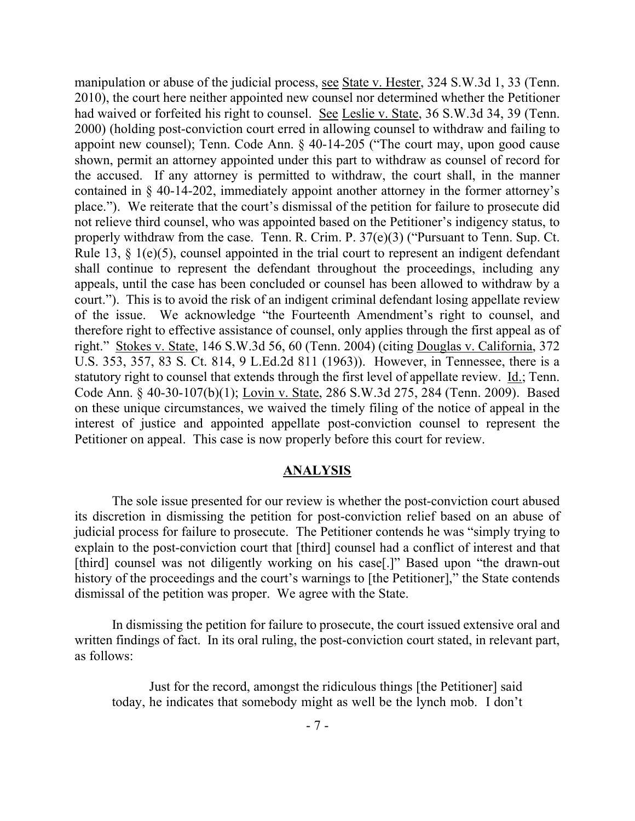manipulation or abuse of the judicial process, <u>see State v. Hester</u>, 324 S.W.3d 1, 33 (Tenn. 2010), the court here neither appointed new counsel nor determined whether the Petitioner had waived or forfeited his right to counsel. See Leslie v. State, 36 S.W.3d 34, 39 (Tenn. 2000) (holding post-conviction court erred in allowing counsel to withdraw and failing to appoint new counsel); Tenn. Code Ann. § 40-14-205 ("The court may, upon good cause shown, permit an attorney appointed under this part to withdraw as counsel of record for the accused. If any attorney is permitted to withdraw, the court shall, in the manner contained in § 40-14-202, immediately appoint another attorney in the former attorney's place."). We reiterate that the court's dismissal of the petition for failure to prosecute did not relieve third counsel, who was appointed based on the Petitioner's indigency status, to properly withdraw from the case. Tenn. R. Crim. P. 37(e)(3) ("Pursuant to Tenn. Sup. Ct. Rule 13, § 1(e)(5), counsel appointed in the trial court to represent an indigent defendant shall continue to represent the defendant throughout the proceedings, including any appeals, until the case has been concluded or counsel has been allowed to withdraw by a court."). This is to avoid the risk of an indigent criminal defendant losing appellate review of the issue. We acknowledge "the Fourteenth Amendment's right to counsel, and therefore right to effective assistance of counsel, only applies through the first appeal as of right." Stokes v. State, 146 S.W.3d 56, 60 (Tenn. 2004) (citing Douglas v. California, 372 U.S. 353, 357, 83 S. Ct. 814, 9 L.Ed.2d 811 (1963)). However, in Tennessee, there is a statutory right to counsel that extends through the first level of appellate review. Id.; Tenn. Code Ann. § 40-30-107(b)(1); Lovin v. State, 286 S.W.3d 275, 284 (Tenn. 2009). Based on these unique circumstances, we waived the timely filing of the notice of appeal in the interest of justice and appointed appellate post-conviction counsel to represent the Petitioner on appeal. This case is now properly before this court for review.

#### **ANALYSIS**

The sole issue presented for our review is whether the post-conviction court abused its discretion in dismissing the petition for post-conviction relief based on an abuse of judicial process for failure to prosecute. The Petitioner contends he was "simply trying to explain to the post-conviction court that [third] counsel had a conflict of interest and that [third] counsel was not diligently working on his case[.]" Based upon "the drawn-out history of the proceedings and the court's warnings to [the Petitioner]," the State contends dismissal of the petition was proper. We agree with the State.

In dismissing the petition for failure to prosecute, the court issued extensive oral and written findings of fact. In its oral ruling, the post-conviction court stated, in relevant part, as follows:

Just for the record, amongst the ridiculous things [the Petitioner] said today, he indicates that somebody might as well be the lynch mob. I don't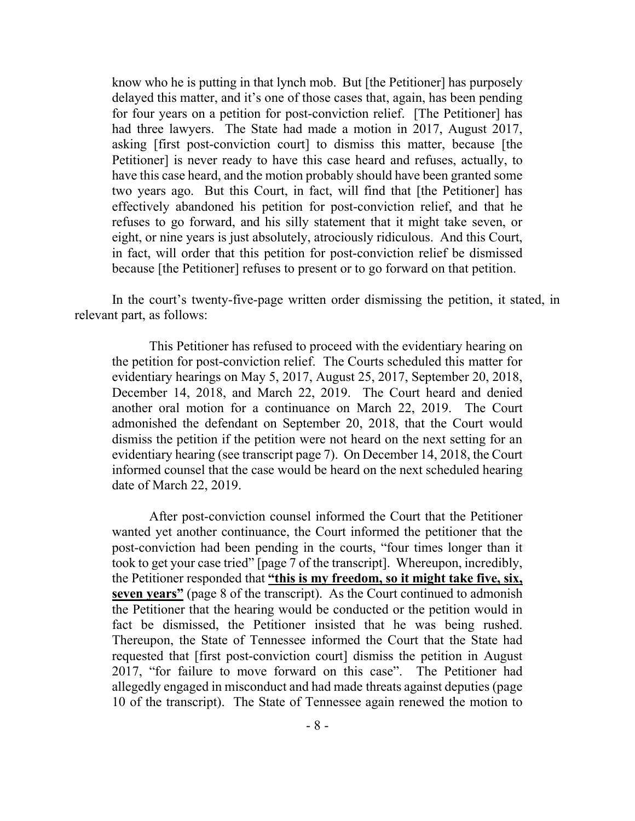know who he is putting in that lynch mob. But [the Petitioner] has purposely delayed this matter, and it's one of those cases that, again, has been pending for four years on a petition for post-conviction relief. [The Petitioner] has had three lawyers. The State had made a motion in 2017, August 2017, asking [first post-conviction court] to dismiss this matter, because [the Petitioner] is never ready to have this case heard and refuses, actually, to have this case heard, and the motion probably should have been granted some two years ago. But this Court, in fact, will find that [the Petitioner] has effectively abandoned his petition for post-conviction relief, and that he refuses to go forward, and his silly statement that it might take seven, or eight, or nine years is just absolutely, atrociously ridiculous. And this Court, in fact, will order that this petition for post-conviction relief be dismissed because [the Petitioner] refuses to present or to go forward on that petition.

In the court's twenty-five-page written order dismissing the petition, it stated, in relevant part, as follows:

This Petitioner has refused to proceed with the evidentiary hearing on the petition for post-conviction relief. The Courts scheduled this matter for evidentiary hearings on May 5, 2017, August 25, 2017, September 20, 2018, December 14, 2018, and March 22, 2019. The Court heard and denied another oral motion for a continuance on March 22, 2019. The Court admonished the defendant on September 20, 2018, that the Court would dismiss the petition if the petition were not heard on the next setting for an evidentiary hearing (see transcript page 7). On December 14, 2018, the Court informed counsel that the case would be heard on the next scheduled hearing date of March 22, 2019.

After post-conviction counsel informed the Court that the Petitioner wanted yet another continuance, the Court informed the petitioner that the post-conviction had been pending in the courts, "four times longer than it took to get your case tried" [page 7 of the transcript]. Whereupon, incredibly, the Petitioner responded that **"this is my freedom, so it might take five, six, seven years"** (page 8 of the transcript). As the Court continued to admonish the Petitioner that the hearing would be conducted or the petition would in fact be dismissed, the Petitioner insisted that he was being rushed. Thereupon, the State of Tennessee informed the Court that the State had requested that [first post-conviction court] dismiss the petition in August 2017, "for failure to move forward on this case". The Petitioner had allegedly engaged in misconduct and had made threats against deputies (page 10 of the transcript). The State of Tennessee again renewed the motion to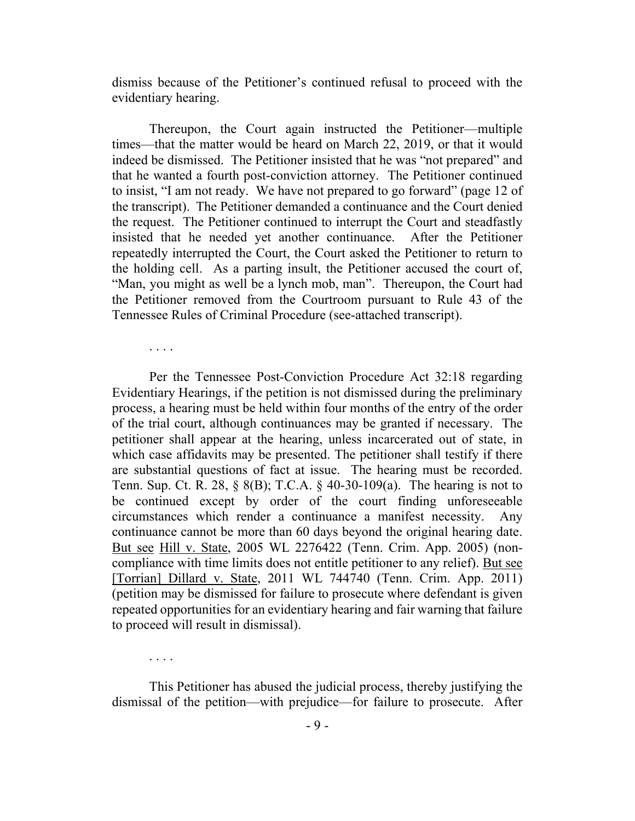dismiss because of the Petitioner's continued refusal to proceed with the evidentiary hearing.

Thereupon, the Court again instructed the Petitioner—multiple times—that the matter would be heard on March 22, 2019, or that it would indeed be dismissed. The Petitioner insisted that he was "not prepared" and that he wanted a fourth post-conviction attorney. The Petitioner continued to insist, "I am not ready. We have not prepared to go forward" (page 12 of the transcript). The Petitioner demanded a continuance and the Court denied the request. The Petitioner continued to interrupt the Court and steadfastly insisted that he needed yet another continuance. After the Petitioner repeatedly interrupted the Court, the Court asked the Petitioner to return to the holding cell. As a parting insult, the Petitioner accused the court of, "Man, you might as well be a lynch mob, man". Thereupon, the Court had the Petitioner removed from the Courtroom pursuant to Rule 43 of the Tennessee Rules of Criminal Procedure (see-attached transcript).

. . . .

Per the Tennessee Post-Conviction Procedure Act 32:18 regarding Evidentiary Hearings, if the petition is not dismissed during the preliminary process, a hearing must be held within four months of the entry of the order of the trial court, although continuances may be granted if necessary. The petitioner shall appear at the hearing, unless incarcerated out of state, in which case affidavits may be presented. The petitioner shall testify if there are substantial questions of fact at issue. The hearing must be recorded. Tenn. Sup. Ct. R. 28, § 8(B); T.C.A. § 40-30-109(a). The hearing is not to be continued except by order of the court finding unforeseeable circumstances which render a continuance a manifest necessity. Any continuance cannot be more than 60 days beyond the original hearing date. But see Hill v. State, 2005 WL 2276422 (Tenn. Crim. App. 2005) (noncompliance with time limits does not entitle petitioner to any relief). But see [Torrian] Dillard v. State, 2011 WL 744740 (Tenn. Crim. App. 2011) (petition may be dismissed for failure to prosecute where defendant is given repeated opportunities for an evidentiary hearing and fair warning that failure to proceed will result in dismissal).

. . . .

This Petitioner has abused the judicial process, thereby justifying the dismissal of the petition—with prejudice—for failure to prosecute. After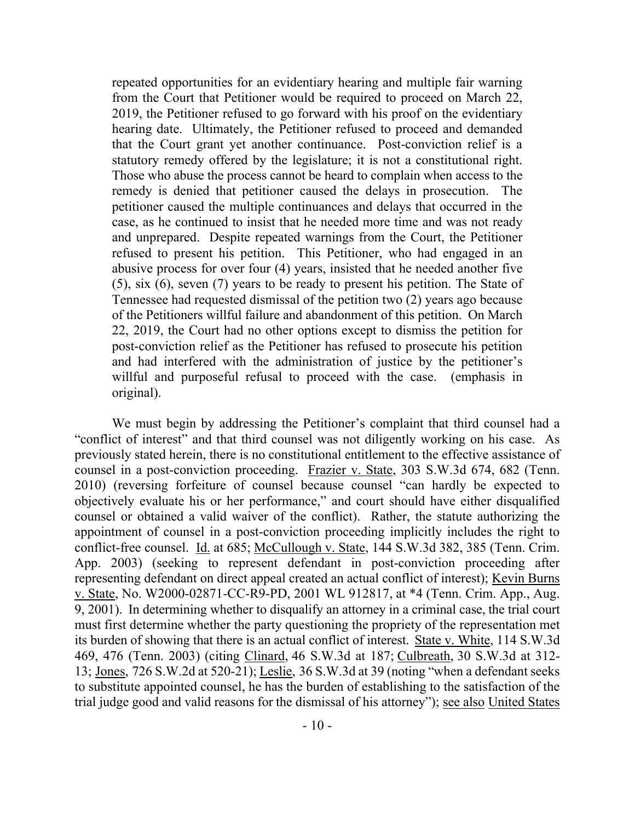repeated opportunities for an evidentiary hearing and multiple fair warning from the Court that Petitioner would be required to proceed on March 22, 2019, the Petitioner refused to go forward with his proof on the evidentiary hearing date. Ultimately, the Petitioner refused to proceed and demanded that the Court grant yet another continuance. Post-conviction relief is a statutory remedy offered by the legislature; it is not a constitutional right. Those who abuse the process cannot be heard to complain when access to the remedy is denied that petitioner caused the delays in prosecution. The petitioner caused the multiple continuances and delays that occurred in the case, as he continued to insist that he needed more time and was not ready and unprepared. Despite repeated warnings from the Court, the Petitioner refused to present his petition. This Petitioner, who had engaged in an abusive process for over four (4) years, insisted that he needed another five (5), six (6), seven (7) years to be ready to present his petition. The State of Tennessee had requested dismissal of the petition two (2) years ago because of the Petitioners willful failure and abandonment of this petition. On March 22, 2019, the Court had no other options except to dismiss the petition for post-conviction relief as the Petitioner has refused to prosecute his petition and had interfered with the administration of justice by the petitioner's willful and purposeful refusal to proceed with the case. (emphasis in original).

We must begin by addressing the Petitioner's complaint that third counsel had a "conflict of interest" and that third counsel was not diligently working on his case. As previously stated herein, there is no constitutional entitlement to the effective assistance of counsel in a post-conviction proceeding. Frazier v. State, 303 S.W.3d 674, 682 (Tenn. 2010) (reversing forfeiture of counsel because counsel "can hardly be expected to objectively evaluate his or her performance," and court should have either disqualified counsel or obtained a valid waiver of the conflict). Rather, the statute authorizing the appointment of counsel in a post-conviction proceeding implicitly includes the right to conflict-free counsel. Id. at 685; McCullough v. State, 144 S.W.3d 382, 385 (Tenn. Crim. App. 2003) (seeking to represent defendant in post-conviction proceeding after representing defendant on direct appeal created an actual conflict of interest); Kevin Burns v. State, No. W2000-02871-CC-R9-PD, 2001 WL 912817, at \*4 (Tenn. Crim. App., Aug. 9, 2001). In determining whether to disqualify an attorney in a criminal case, the trial court must first determine whether the party questioning the propriety of the representation met its burden of showing that there is an actual conflict of interest. State v. White, 114 S.W.3d 469, 476 (Tenn. 2003) (citing Clinard, 46 S.W.3d at 187; Culbreath, 30 S.W.3d at 312- 13; Jones, 726 S.W.2d at 520-21); Leslie, 36 S.W.3d at 39 (noting "when a defendant seeks to substitute appointed counsel, he has the burden of establishing to the satisfaction of the trial judge good and valid reasons for the dismissal of his attorney"); see also United States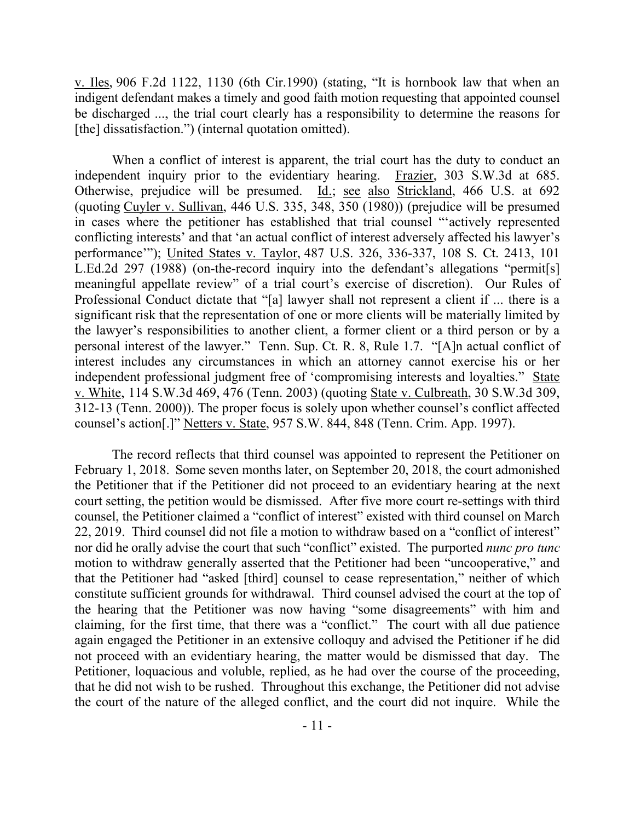v. Iles, 906 F.2d 1122, 1130 (6th Cir.1990) (stating, "It is hornbook law that when an indigent defendant makes a timely and good faith motion requesting that appointed counsel be discharged ..., the trial court clearly has a responsibility to determine the reasons for [the] dissatisfaction.") (internal quotation omitted).

When a conflict of interest is apparent, the trial court has the duty to conduct an independent inquiry prior to the evidentiary hearing. Frazier, 303 S.W.3d at 685. Otherwise, prejudice will be presumed. Id.; see also Strickland, 466 U.S. at 692 (quoting Cuyler v. Sullivan, 446 U.S. 335, 348, 350 (1980)) (prejudice will be presumed in cases where the petitioner has established that trial counsel "'actively represented conflicting interests' and that 'an actual conflict of interest adversely affected his lawyer's performance'"); United States v. Taylor, 487 U.S. 326, 336-337, 108 S. Ct. 2413, 101 L.Ed.2d 297 (1988) (on-the-record inquiry into the defendant's allegations "permit[s] meaningful appellate review" of a trial court's exercise of discretion). Our Rules of Professional Conduct dictate that "[a] lawyer shall not represent a client if ... there is a significant risk that the representation of one or more clients will be materially limited by the lawyer's responsibilities to another client, a former client or a third person or by a personal interest of the lawyer." Tenn. Sup. Ct. R. 8, Rule 1.7. "[A]n actual conflict of interest includes any circumstances in which an attorney cannot exercise his or her independent professional judgment free of 'compromising interests and loyalties." State v. White, 114 S.W.3d 469, 476 (Tenn. 2003) (quoting State v. Culbreath, 30 S.W.3d 309, 312-13 (Tenn. 2000)). The proper focus is solely upon whether counsel's conflict affected counsel's action[.]" Netters v. State, 957 S.W. 844, 848 (Tenn. Crim. App. 1997).

The record reflects that third counsel was appointed to represent the Petitioner on February 1, 2018. Some seven months later, on September 20, 2018, the court admonished the Petitioner that if the Petitioner did not proceed to an evidentiary hearing at the next court setting, the petition would be dismissed. After five more court re-settings with third counsel, the Petitioner claimed a "conflict of interest" existed with third counsel on March 22, 2019. Third counsel did not file a motion to withdraw based on a "conflict of interest" nor did he orally advise the court that such "conflict" existed. The purported *nunc pro tunc* motion to withdraw generally asserted that the Petitioner had been "uncooperative," and that the Petitioner had "asked [third] counsel to cease representation," neither of which constitute sufficient grounds for withdrawal. Third counsel advised the court at the top of the hearing that the Petitioner was now having "some disagreements" with him and claiming, for the first time, that there was a "conflict." The court with all due patience again engaged the Petitioner in an extensive colloquy and advised the Petitioner if he did not proceed with an evidentiary hearing, the matter would be dismissed that day. The Petitioner, loquacious and voluble, replied, as he had over the course of the proceeding, that he did not wish to be rushed. Throughout this exchange, the Petitioner did not advise the court of the nature of the alleged conflict, and the court did not inquire. While the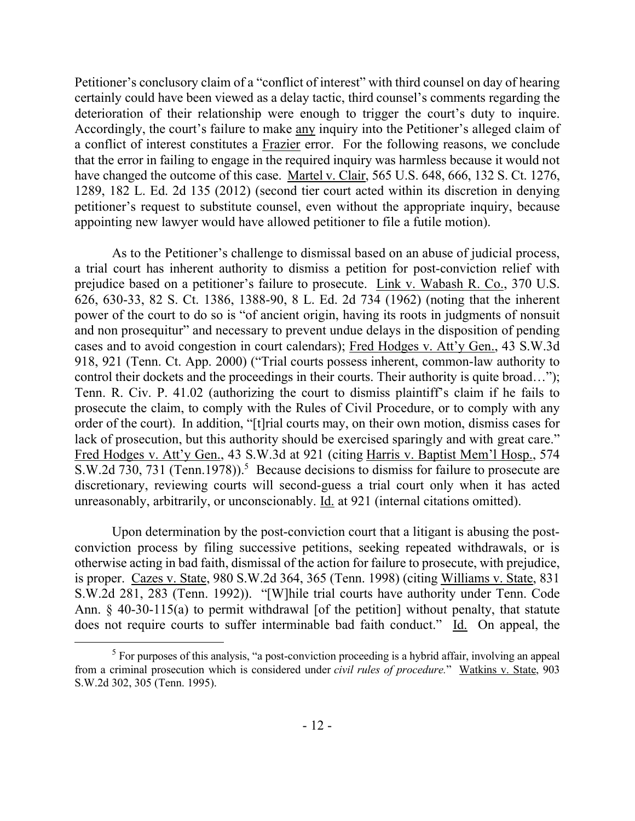Petitioner's conclusory claim of a "conflict of interest" with third counsel on day of hearing certainly could have been viewed as a delay tactic, third counsel's comments regarding the deterioration of their relationship were enough to trigger the court's duty to inquire. Accordingly, the court's failure to make any inquiry into the Petitioner's alleged claim of a conflict of interest constitutes a Frazier error. For the following reasons, we conclude that the error in failing to engage in the required inquiry was harmless because it would not have changed the outcome of this case. Martel v. Clair, 565 U.S. 648, 666, 132 S. Ct. 1276, 1289, 182 L. Ed. 2d 135 (2012) (second tier court acted within its discretion in denying petitioner's request to substitute counsel, even without the appropriate inquiry, because appointing new lawyer would have allowed petitioner to file a futile motion).

As to the Petitioner's challenge to dismissal based on an abuse of judicial process, a trial court has inherent authority to dismiss a petition for post-conviction relief with prejudice based on a petitioner's failure to prosecute. Link v. Wabash R. Co., 370 U.S. 626, 630-33, 82 S. Ct. 1386, 1388-90, 8 L. Ed. 2d 734 (1962) (noting that the inherent power of the court to do so is "of ancient origin, having its roots in judgments of nonsuit and non prosequitur" and necessary to prevent undue delays in the disposition of pending cases and to avoid congestion in court calendars); Fred Hodges v. Att'y Gen., 43 S.W.3d 918, 921 (Tenn. Ct. App. 2000) ("Trial courts possess inherent, common-law authority to control their dockets and the proceedings in their courts. Their authority is quite broad..."); Tenn. R. Civ. P. 41.02 (authorizing the court to dismiss plaintiff's claim if he fails to prosecute the claim, to comply with the Rules of Civil Procedure, or to comply with any order of the court). In addition, "[t]rial courts may, on their own motion, dismiss cases for lack of prosecution, but this authority should be exercised sparingly and with great care." Fred Hodges v. Att'y Gen., 43 S.W.3d at 921 (citing Harris v. Baptist Mem'l Hosp., 574 S.W.2d 730, 731 (Tenn.1978)).<sup>5</sup> Because decisions to dismiss for failure to prosecute are discretionary, reviewing courts will second-guess a trial court only when it has acted unreasonably, arbitrarily, or unconscionably. Id. at 921 (internal citations omitted).

Upon determination by the post-conviction court that a litigant is abusing the postconviction process by filing successive petitions, seeking repeated withdrawals, or is otherwise acting in bad faith, dismissal of the action for failure to prosecute, with prejudice, is proper. Cazes v. State, 980 S.W.2d 364, 365 (Tenn. 1998) (citing Williams v. State, 831 S.W.2d 281, 283 (Tenn. 1992)). "[W]hile trial courts have authority under Tenn. Code Ann. § 40-30-115(a) to permit withdrawal [of the petition] without penalty, that statute does not require courts to suffer interminable bad faith conduct." Id. On appeal, the

 $<sup>5</sup>$  For purposes of this analysis, "a post-conviction proceeding is a hybrid affair, involving an appeal</sup> from a criminal prosecution which is considered under *civil rules of procedure.*" Watkins v. State, 903 S.W.2d 302, 305 (Tenn. 1995).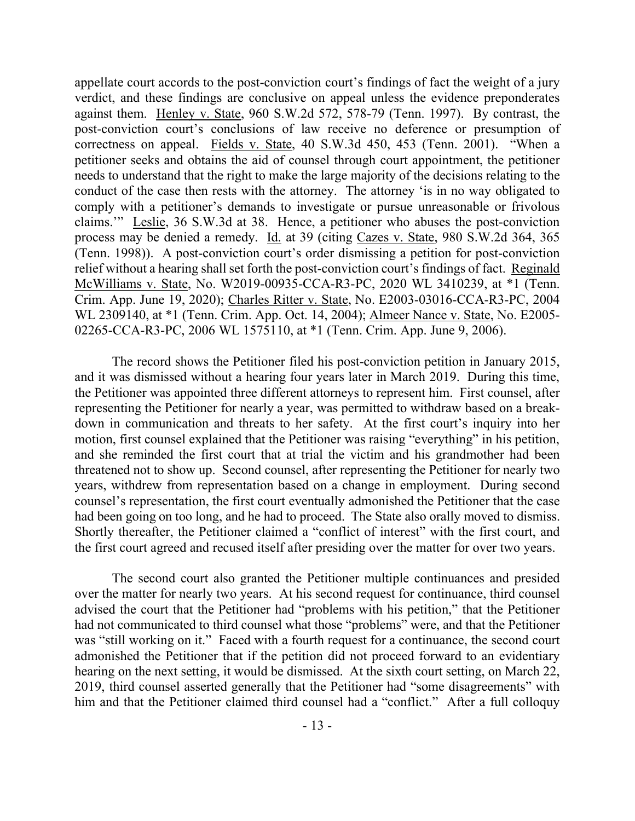appellate court accords to the post-conviction court's findings of fact the weight of a jury verdict, and these findings are conclusive on appeal unless the evidence preponderates against them. Henley v. State, 960 S.W.2d 572, 578-79 (Tenn. 1997). By contrast, the post-conviction court's conclusions of law receive no deference or presumption of correctness on appeal. Fields v. State, 40 S.W.3d 450, 453 (Tenn. 2001). "When a petitioner seeks and obtains the aid of counsel through court appointment, the petitioner needs to understand that the right to make the large majority of the decisions relating to the conduct of the case then rests with the attorney. The attorney 'is in no way obligated to comply with a petitioner's demands to investigate or pursue unreasonable or frivolous claims.'" Leslie, 36 S.W.3d at 38. Hence, a petitioner who abuses the post-conviction process may be denied a remedy. Id. at 39 (citing Cazes v. State, 980 S.W.2d 364, 365 (Tenn. 1998)). A post-conviction court's order dismissing a petition for post-conviction relief without a hearing shall set forth the post-conviction court's findings of fact. Reginald McWilliams v. State, No. W2019-00935-CCA-R3-PC, 2020 WL 3410239, at \*1 (Tenn. Crim. App. June 19, 2020); Charles Ritter v. State, No. E2003-03016-CCA-R3-PC, 2004 WL 2309140, at \*1 (Tenn. Crim. App. Oct. 14, 2004); Almeer Nance v. State, No. E2005- 02265-CCA-R3-PC, 2006 WL 1575110, at \*1 (Tenn. Crim. App. June 9, 2006).

The record shows the Petitioner filed his post-conviction petition in January 2015, and it was dismissed without a hearing four years later in March 2019. During this time, the Petitioner was appointed three different attorneys to represent him. First counsel, after representing the Petitioner for nearly a year, was permitted to withdraw based on a breakdown in communication and threats to her safety. At the first court's inquiry into her motion, first counsel explained that the Petitioner was raising "everything" in his petition, and she reminded the first court that at trial the victim and his grandmother had been threatened not to show up. Second counsel, after representing the Petitioner for nearly two years, withdrew from representation based on a change in employment. During second counsel's representation, the first court eventually admonished the Petitioner that the case had been going on too long, and he had to proceed. The State also orally moved to dismiss. Shortly thereafter, the Petitioner claimed a "conflict of interest" with the first court, and the first court agreed and recused itself after presiding over the matter for over two years.

The second court also granted the Petitioner multiple continuances and presided over the matter for nearly two years. At his second request for continuance, third counsel advised the court that the Petitioner had "problems with his petition," that the Petitioner had not communicated to third counsel what those "problems" were, and that the Petitioner was "still working on it." Faced with a fourth request for a continuance, the second court admonished the Petitioner that if the petition did not proceed forward to an evidentiary hearing on the next setting, it would be dismissed. At the sixth court setting, on March 22, 2019, third counsel asserted generally that the Petitioner had "some disagreements" with him and that the Petitioner claimed third counsel had a "conflict." After a full colloquy